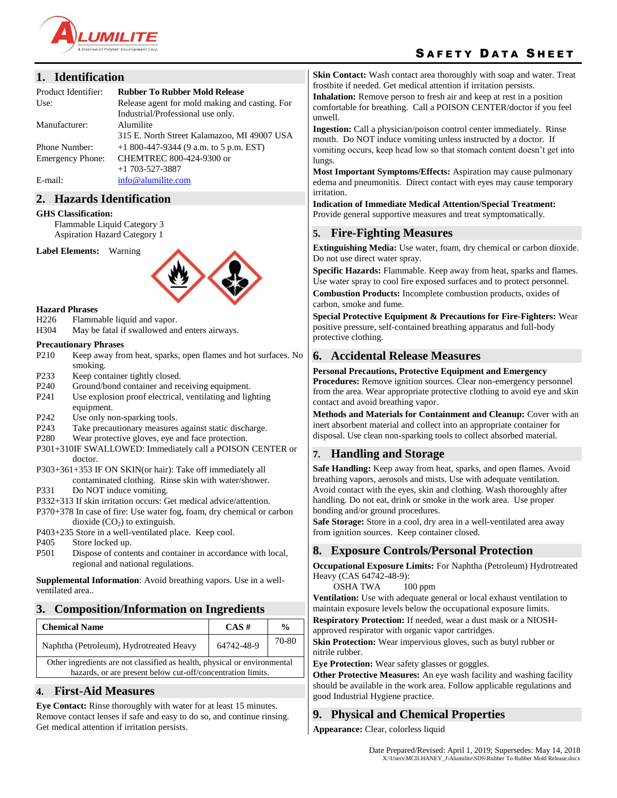

# SAFETY DATA SHEET

### **1. Identification**

| Product Identifier:     | <b>Rubber To Rubber Mold Release</b>           |
|-------------------------|------------------------------------------------|
| Use:                    | Release agent for mold making and casting. For |
|                         | Industrial/Professional use only.              |
| Manufacturer:           | Alumilite                                      |
|                         | 315 E. North Street Kalamazoo, MI 49007 USA    |
| <b>Phone Number:</b>    | $+1800-447-9344$ (9 a.m. to 5 p.m. EST)        |
| <b>Emergency Phone:</b> | CHEMTREC 800-424-9300 or                       |
|                         | $+1$ 703-527-3887                              |
| E-mail:                 | info@alumilite.com                             |

#### **2. Hazards Identification**

#### **GHS Classification:**

Flammable Liquid Category 3 Aspiration Hazard Category 1

**Label Elements:** Warning



#### **Hazard Phrases**

- H226 Flammable liquid and vapor.
- H304 May be fatal if swallowed and enters airways.

#### **Precautionary Phrases**

- P210 Keep away from heat, sparks, open flames and hot surfaces. No smoking.
- P233 Keep container tightly closed.
- P240 Ground/bond container and receiving equipment.
- P241 Use explosion proof electrical, ventilating and lighting equipment.
- P242 Use only non-sparking tools.
- P243 Take precautionary measures against static discharge.
- P280 Wear protective gloves, eye and face protection.
- P301+310IF SWALLOWED: Immediately call a POISON CENTER or doctor.
- P303+361+353 IF ON SKIN(or hair): Take off immediately all contaminated clothing. Rinse skin with water/shower.
- P331 Do NOT induce vomiting.
- P332+313 If skin irritation occurs: Get medical advice/attention.
- P370+378 In case of fire: Use water fog, foam, dry chemical or carbon dioxide  $(CO_2)$  to extinguish.
- P403+235 Store in a well-ventilated place. Keep cool.
- P405 Store locked up.
- P501 Dispose of contents and container in accordance with local, regional and national regulations.

**Supplemental Information**: Avoid breathing vapors. Use in a wellventilated area..

### **3. Composition/Information on Ingredients**

| <b>Chemical Name</b>                                                                                                                     | $CAS \#$   | $\frac{0}{0}$ |
|------------------------------------------------------------------------------------------------------------------------------------------|------------|---------------|
| Naphtha (Petroleum), Hydrotreated Heavy                                                                                                  | 64742-48-9 | 70-80         |
| Other ingredients are not classified as health, physical or environmental<br>hazards, or are present below cut-off/concentration limits. |            |               |

### **4. First-Aid Measures**

**Eye Contact:** Rinse thoroughly with water for at least 15 minutes. Remove contact lenses if safe and easy to do so, and continue rinsing. Get medical attention if irritation persists.

**Skin Contact:** Wash contact area thoroughly with soap and water. Treat frostbite if needed. Get medical attention if irritation persists.

**Inhalation:** Remove person to fresh air and keep at rest in a position comfortable for breathing. Call a POISON CENTER/doctor if you feel unwell.

**Ingestion:** Call a physician/poison control center immediately. Rinse mouth. Do NOT induce vomiting unless instructed by a doctor. If vomiting occurs, keep head low so that stomach content doesn't get into lungs.

**Most Important Symptoms/Effects:** Aspiration may cause pulmonary edema and pneumonitis. Direct contact with eyes may cause temporary irritation.

**Indication of Immediate Medical Attention/Special Treatment:** Provide general supportive measures and treat symptomatically.

### **5. Fire-Fighting Measures**

**Extinguishing Media:** Use water, foam, dry chemical or carbon dioxide. Do not use direct water spray.

**Specific Hazards:** Flammable. Keep away from heat, sparks and flames. Use water spray to cool fire exposed surfaces and to protect personnel.

**Combustion Products:** Incomplete combustion products, oxides of carbon, smoke and fume.

**Special Protective Equipment & Precautions for Fire-Fighters:** Wear positive pressure, self-contained breathing apparatus and full-body protective clothing.

### **6. Accidental Release Measures**

**Personal Precautions, Protective Equipment and Emergency Procedures:** Remove ignition sources. Clear non-emergency personnel from the area. Wear appropriate protective clothing to avoid eye and skin contact and avoid breathing vapor.

**Methods and Materials for Containment and Cleanup:** Cover with an inert absorbent material and collect into an appropriate container for disposal. Use clean non-sparking tools to collect absorbed material.

### **7. Handling and Storage**

**Safe Handling:** Keep away from heat, sparks, and open flames. Avoid breathing vapors, aerosols and mists. Use with adequate ventilation. Avoid contact with the eyes, skin and clothing. Wash thoroughly after handling. Do not eat, drink or smoke in the work area. Use proper bonding and/or ground procedures.

**Safe Storage:** Store in a cool, dry area in a well-ventilated area away from ignition sources. Keep container closed.

### **8. Exposure Controls/Personal Protection**

**Occupational Exposure Limits:** For Naphtha (Petroleum) Hydrotreated Heavy (CAS 64742-48-9):

OSHA TWA 100 ppm

**Ventilation:** Use with adequate general or local exhaust ventilation to maintain exposure levels below the occupational exposure limits.

**Respiratory Protection:** If needed, wear a dust mask or a NIOSH-

approved respirator with organic vapor cartridges.

**Skin Protection:** Wear impervious gloves, such as butyl rubber or nitrile rubber.

**Eye Protection:** Wear safety glasses or goggles.

**Other Protective Measures:** An eye wash facility and washing facility should be available in the work area. Follow applicable regulations and good Industrial Hygiene practice.

### **9. Physical and Chemical Properties**

**Appearance:** Clear, colorless liquid